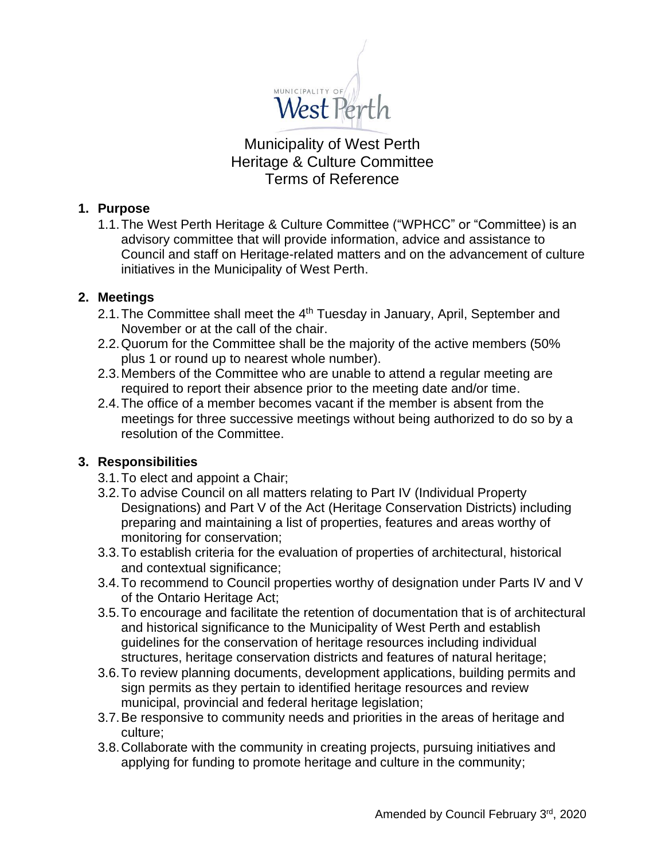

Municipality of West Perth Heritage & Culture Committee Terms of Reference

### **1. Purpose**

1.1.The West Perth Heritage & Culture Committee ("WPHCC" or "Committee) is an advisory committee that will provide information, advice and assistance to Council and staff on Heritage-related matters and on the advancement of culture initiatives in the Municipality of West Perth.

### **2. Meetings**

- 2.1. The Committee shall meet the 4<sup>th</sup> Tuesday in January, April, September and November or at the call of the chair.
- 2.2.Quorum for the Committee shall be the majority of the active members (50% plus 1 or round up to nearest whole number).
- 2.3.Members of the Committee who are unable to attend a regular meeting are required to report their absence prior to the meeting date and/or time.
- 2.4.The office of a member becomes vacant if the member is absent from the meetings for three successive meetings without being authorized to do so by a resolution of the Committee.

### **3. Responsibilities**

- 3.1.To elect and appoint a Chair;
- 3.2.To advise Council on all matters relating to Part IV (Individual Property Designations) and Part V of the Act (Heritage Conservation Districts) including preparing and maintaining a list of properties, features and areas worthy of monitoring for conservation;
- 3.3.To establish criteria for the evaluation of properties of architectural, historical and contextual significance;
- 3.4.To recommend to Council properties worthy of designation under Parts IV and V of the Ontario Heritage Act;
- 3.5.To encourage and facilitate the retention of documentation that is of architectural and historical significance to the Municipality of West Perth and establish guidelines for the conservation of heritage resources including individual structures, heritage conservation districts and features of natural heritage;
- 3.6.To review planning documents, development applications, building permits and sign permits as they pertain to identified heritage resources and review municipal, provincial and federal heritage legislation;
- 3.7.Be responsive to community needs and priorities in the areas of heritage and culture;
- 3.8.Collaborate with the community in creating projects, pursuing initiatives and applying for funding to promote heritage and culture in the community;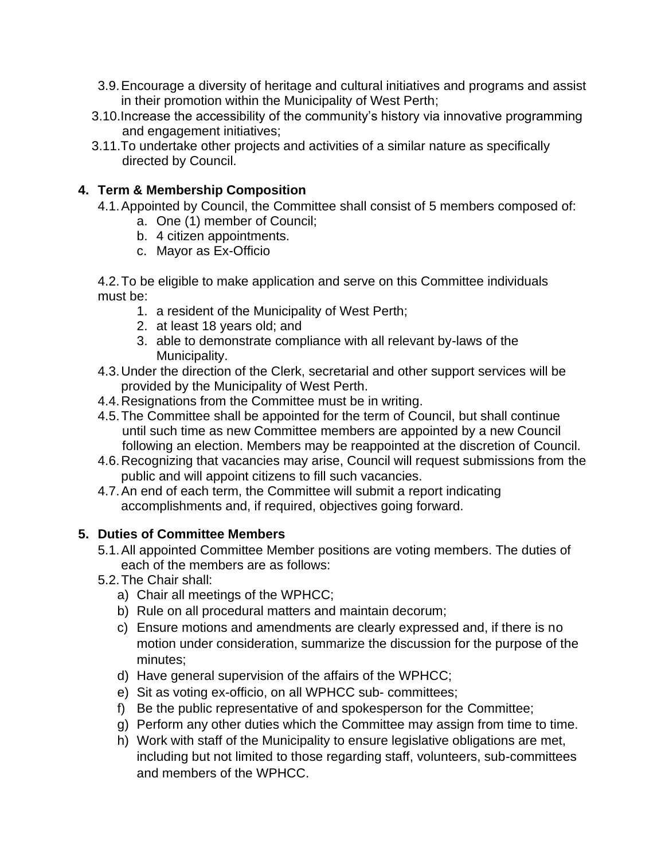- 3.9.Encourage a diversity of heritage and cultural initiatives and programs and assist in their promotion within the Municipality of West Perth;
- 3.10.Increase the accessibility of the community's history via innovative programming and engagement initiatives;
- 3.11.To undertake other projects and activities of a similar nature as specifically directed by Council.

# **4. Term & Membership Composition**

- 4.1.Appointed by Council, the Committee shall consist of 5 members composed of:
	- a. One (1) member of Council;
	- b. 4 citizen appointments.
	- c. Mayor as Ex-Officio

4.2.To be eligible to make application and serve on this Committee individuals must be:

- 1. a resident of the Municipality of West Perth;
- 2. at least 18 years old; and
- 3. able to demonstrate compliance with all relevant by-laws of the Municipality.
- 4.3.Under the direction of the Clerk, secretarial and other support services will be provided by the Municipality of West Perth.
- 4.4.Resignations from the Committee must be in writing.
- 4.5.The Committee shall be appointed for the term of Council, but shall continue until such time as new Committee members are appointed by a new Council following an election. Members may be reappointed at the discretion of Council.
- 4.6.Recognizing that vacancies may arise, Council will request submissions from the public and will appoint citizens to fill such vacancies.
- 4.7.An end of each term, the Committee will submit a report indicating accomplishments and, if required, objectives going forward.

# **5. Duties of Committee Members**

- 5.1.All appointed Committee Member positions are voting members. The duties of each of the members are as follows:
- 5.2.The Chair shall:
	- a) Chair all meetings of the WPHCC;
	- b) Rule on all procedural matters and maintain decorum;
	- c) Ensure motions and amendments are clearly expressed and, if there is no motion under consideration, summarize the discussion for the purpose of the minutes;
	- d) Have general supervision of the affairs of the WPHCC;
	- e) Sit as voting ex-officio, on all WPHCC sub- committees;
	- f) Be the public representative of and spokesperson for the Committee;
	- g) Perform any other duties which the Committee may assign from time to time.
	- h) Work with staff of the Municipality to ensure legislative obligations are met, including but not limited to those regarding staff, volunteers, sub-committees and members of the WPHCC.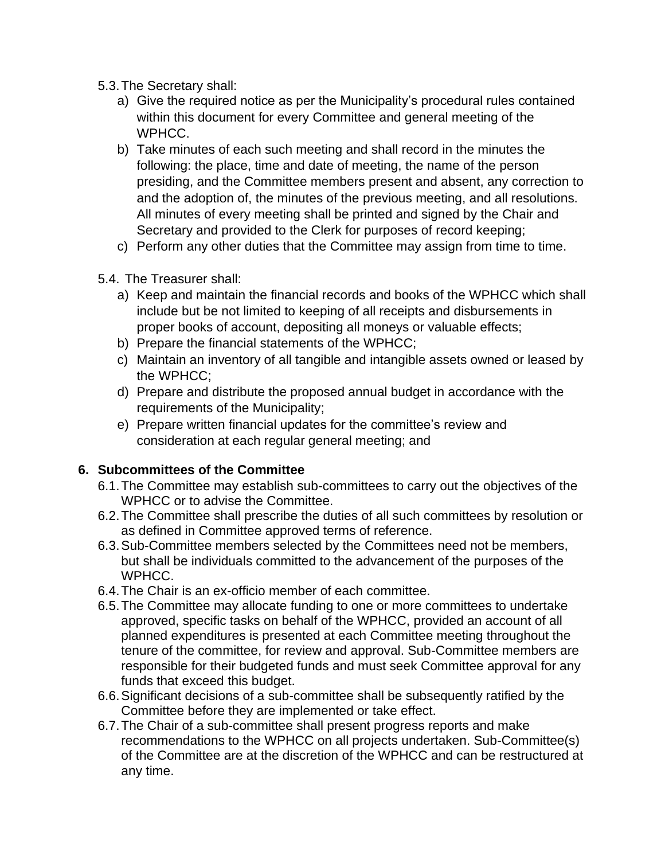- 5.3.The Secretary shall:
	- a) Give the required notice as per the Municipality's procedural rules contained within this document for every Committee and general meeting of the WPHCC.
	- b) Take minutes of each such meeting and shall record in the minutes the following: the place, time and date of meeting, the name of the person presiding, and the Committee members present and absent, any correction to and the adoption of, the minutes of the previous meeting, and all resolutions. All minutes of every meeting shall be printed and signed by the Chair and Secretary and provided to the Clerk for purposes of record keeping;
	- c) Perform any other duties that the Committee may assign from time to time.
- 5.4. The Treasurer shall:
	- a) Keep and maintain the financial records and books of the WPHCC which shall include but be not limited to keeping of all receipts and disbursements in proper books of account, depositing all moneys or valuable effects;
	- b) Prepare the financial statements of the WPHCC;
	- c) Maintain an inventory of all tangible and intangible assets owned or leased by the WPHCC;
	- d) Prepare and distribute the proposed annual budget in accordance with the requirements of the Municipality;
	- e) Prepare written financial updates for the committee's review and consideration at each regular general meeting; and

# **6. Subcommittees of the Committee**

- 6.1.The Committee may establish sub-committees to carry out the objectives of the WPHCC or to advise the Committee.
- 6.2.The Committee shall prescribe the duties of all such committees by resolution or as defined in Committee approved terms of reference.
- 6.3.Sub-Committee members selected by the Committees need not be members, but shall be individuals committed to the advancement of the purposes of the WPHCC.
- 6.4.The Chair is an ex-officio member of each committee.
- 6.5.The Committee may allocate funding to one or more committees to undertake approved, specific tasks on behalf of the WPHCC, provided an account of all planned expenditures is presented at each Committee meeting throughout the tenure of the committee, for review and approval. Sub-Committee members are responsible for their budgeted funds and must seek Committee approval for any funds that exceed this budget.
- 6.6.Significant decisions of a sub-committee shall be subsequently ratified by the Committee before they are implemented or take effect.
- 6.7.The Chair of a sub-committee shall present progress reports and make recommendations to the WPHCC on all projects undertaken. Sub-Committee(s) of the Committee are at the discretion of the WPHCC and can be restructured at any time.